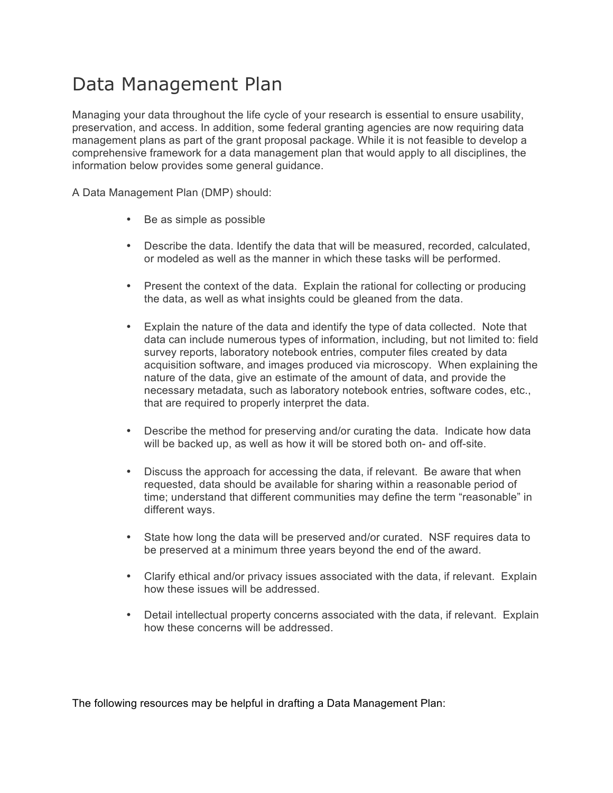## Data Management Plan

 Managing your data throughout the life cycle of your research is essential to ensure usability, preservation, and access. In addition, some federal granting agencies are now requiring data management plans as part of the grant proposal package. While it is not feasible to develop a comprehensive framework for a data management plan that would apply to all disciplines, the information below provides some general guidance.

A Data Management Plan (DMP) should:

- Be as simple as possible
- • Describe the data. Identify the data that will be measured, recorded, calculated, or modeled as well as the manner in which these tasks will be performed.
- • Present the context of the data. Explain the rational for collecting or producing the data, as well as what insights could be gleaned from the data.
- • Explain the nature of the data and identify the type of data collected. Note that data can include numerous types of information, including, but not limited to: field survey reports, laboratory notebook entries, computer files created by data acquisition software, and images produced via microscopy. When explaining the nature of the data, give an estimate of the amount of data, and provide the necessary metadata, such as laboratory notebook entries, software codes, etc., that are required to properly interpret the data.
- • Describe the method for preserving and/or curating the data. Indicate how data will be backed up, as well as how it will be stored both on- and off-site.
- • Discuss the approach for accessing the data, if relevant. Be aware that when requested, data should be available for sharing within a reasonable period of time; understand that different communities may define the term "reasonable" in different ways.
- • State how long the data will be preserved and/or curated. NSF requires data to be preserved at a minimum three years beyond the end of the award.
- • Clarify ethical and/or privacy issues associated with the data, if relevant. Explain how these issues will be addressed.
- • Detail intellectual property concerns associated with the data, if relevant. Explain how these concerns will be addressed.

The following resources may be helpful in drafting a Data Management Plan: